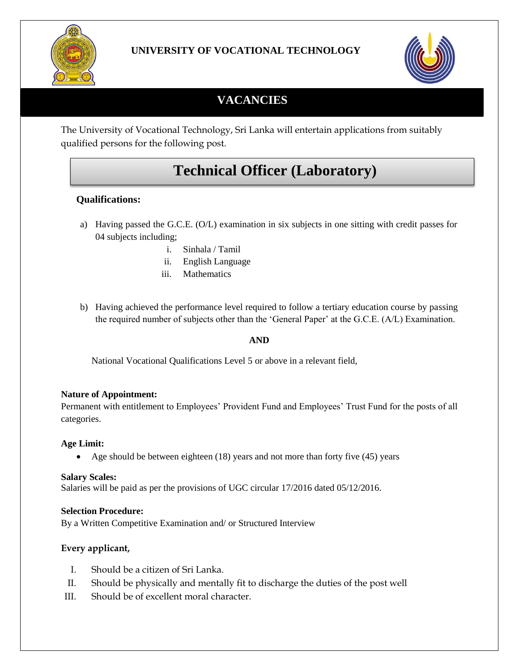

### **UNIVERSITY OF VOCATIONAL TECHNOLOGY**



## **VACANCIES**

The University of Vocational Technology, Sri Lanka will entertain applications from suitably qualified persons for the following post.

# **Technical Officer (Laboratory)**

#### **Qualifications:**

- a) Having passed the G.C.E. (O/L) examination in six subjects in one sitting with credit passes for 04 subjects including;
	- i. Sinhala / Tamil
	- ii. English Language
	- iii. Mathematics
- b) Having achieved the performance level required to follow a tertiary education course by passing the required number of subjects other than the 'General Paper' at the G.C.E. (A/L) Examination.

#### **AND**

National Vocational Qualifications Level 5 or above in a relevant field,

#### **Nature of Appointment:**

Permanent with entitlement to Employees' Provident Fund and Employees' Trust Fund for the posts of all categories.

#### **Age Limit:**

• Age should be between eighteen  $(18)$  years and not more than forty five  $(45)$  years

#### **Salary Scales:**

Salaries will be paid as per the provisions of UGC circular 17/2016 dated 05/12/2016.

#### **Selection Procedure:**

By a Written Competitive Examination and/ or Structured Interview

#### **Every applicant,**

- I. Should be a citizen of Sri Lanka.
- II. Should be physically and mentally fit to discharge the duties of the post well
- III. Should be of excellent moral character.